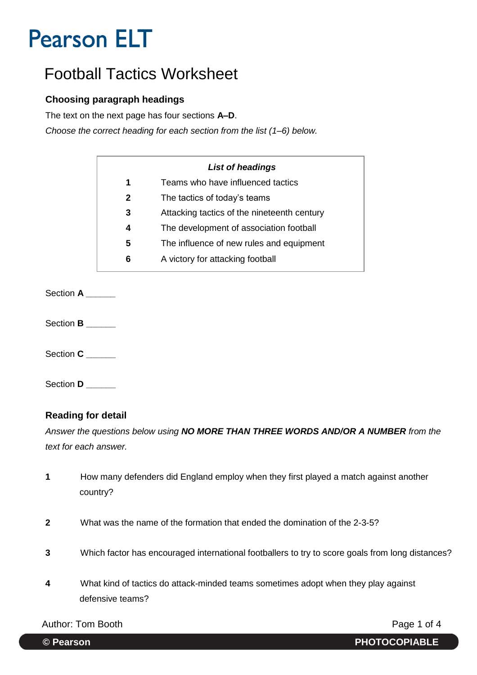## Football Tactics Worksheet

#### **Choosing paragraph headings**

The text on the next page has four sections **A–D**.

*Choose the correct heading for each section from the list (1–6) below.* 

|   | List of headings                            |
|---|---------------------------------------------|
| 1 | Teams who have influenced tactics           |
| 2 | The tactics of today's teams                |
| 3 | Attacking tactics of the nineteenth century |
| 4 | The development of association football     |
| 5 | The influence of new rules and equipment    |
| 6 | A victory for attacking football            |

Section **A \_\_\_\_\_\_**

Section **B** 

Section **C** 

Section **D** 

#### **Reading for detail**

*Answer the questions below using NO MORE THAN THREE WORDS AND/OR A NUMBER from the text for each answer.* 

- **1** How many defenders did England employ when they first played a match against another country?
- **2** What was the name of the formation that ended the domination of the 2-3-5?
- **3** Which factor has encouraged international footballers to try to score goals from long distances?
- **4** What kind of tactics do attack-minded teams sometimes adopt when they play against defensive teams?

Author: Tom Booth **Page 1 of 4**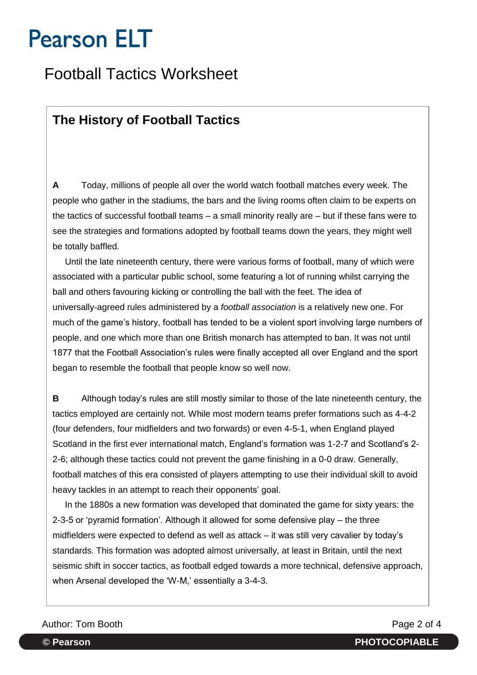## Football Tactics Worksheet

### **The History of Football Tactics**

**A** Today, millions of people all over the world watch football matches every week. The people who gather in the stadiums, the bars and the living rooms often claim to be experts on the tactics of successful football teams – a small minority really are – but if these fans were to see the strategies and formations adopted by football teams down the years, they might well be totally baffled.

 Until the late nineteenth century, there were various forms of football, many of which were associated with a particular public school, some featuring a lot of running whilst carrying the ball and others favouring kicking or controlling the ball with the feet. The idea of universally-agreed rules administered by a *football association* is a relatively new one. For much of the game's history, football has tended to be a violent sport involving large numbers of people, and one which more than one British monarch has attempted to ban. It was not until 1877 that the Football Association's rules were finally accepted all over England and the sport began to resemble the football that people know so well now.

**B** Although today's rules are still mostly similar to those of the late nineteenth century, the tactics employed are certainly not. While most modern teams prefer formations such as 4-4-2 (four defenders, four midfielders and two forwards) or even 4-5-1, when England played Scotland in the first ever international match, England's formation was 1-2-7 and Scotland's 2- 2-6; although these tactics could not prevent the game finishing in a 0-0 draw. Generally, football matches of this era consisted of players attempting to use their individual skill to avoid heavy tackles in an attempt to reach their opponents' goal.

 In the 1880s a new formation was developed that dominated the game for sixty years: the 2-3-5 or 'pyramid formation'. Although it allowed for some defensive play – the three midfielders were expected to defend as well as attack – it was still very cavalier by today's standards. This formation was adopted almost universally, at least in Britain, until the next seismic shift in soccer tactics, as football edged towards a more technical, defensive approach, when Arsenal developed the 'W-M,' essentially a 3-4-3.

#### Author: Tom Booth **Page 2 of 4**

**© Pearson PHOTOCOPIABLE**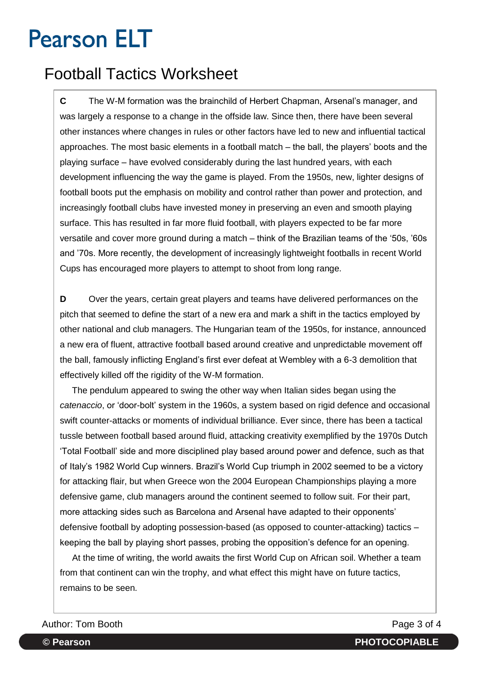## Football Tactics Worksheet

**C** The W-M formation was the brainchild of Herbert Chapman, Arsenal's manager, and was largely a response to a change in the offside law. Since then, there have been several other instances where changes in rules or other factors have led to new and influential tactical approaches. The most basic elements in a football match – the ball, the players' boots and the playing surface – have evolved considerably during the last hundred years, with each development influencing the way the game is played. From the 1950s, new, lighter designs of football boots put the emphasis on mobility and control rather than power and protection, and increasingly football clubs have invested money in preserving an even and smooth playing surface. This has resulted in far more fluid football, with players expected to be far more versatile and cover more ground during a match – think of the Brazilian teams of the '50s, '60s and '70s. More recently, the development of increasingly lightweight footballs in recent World Cups has encouraged more players to attempt to shoot from long range.

**D** Over the years, certain great players and teams have delivered performances on the pitch that seemed to define the start of a new era and mark a shift in the tactics employed by other national and club managers. The Hungarian team of the 1950s, for instance, announced a new era of fluent, attractive football based around creative and unpredictable movement off the ball, famously inflicting England's first ever defeat at Wembley with a 6-3 demolition that effectively killed off the rigidity of the W-M formation.

 The pendulum appeared to swing the other way when Italian sides began using the *catenaccio*, or 'door-bolt' system in the 1960s, a system based on rigid defence and occasional swift counter-attacks or moments of individual brilliance. Ever since, there has been a tactical tussle between football based around fluid, attacking creativity exemplified by the 1970s Dutch 'Total Football' side and more disciplined play based around power and defence, such as that of Italy's 1982 World Cup winners. Brazil's World Cup triumph in 2002 seemed to be a victory for attacking flair, but when Greece won the 2004 European Championships playing a more defensive game, club managers around the continent seemed to follow suit. For their part, more attacking sides such as Barcelona and Arsenal have adapted to their opponents' defensive football by adopting possession-based (as opposed to counter-attacking) tactics – keeping the ball by playing short passes, probing the opposition's defence for an opening.

 At the time of writing, the world awaits the first World Cup on African soil. Whether a team from that continent can win the trophy, and what effect this might have on future tactics, remains to be seen.

Author: Tom Booth **Page 3 of 4**